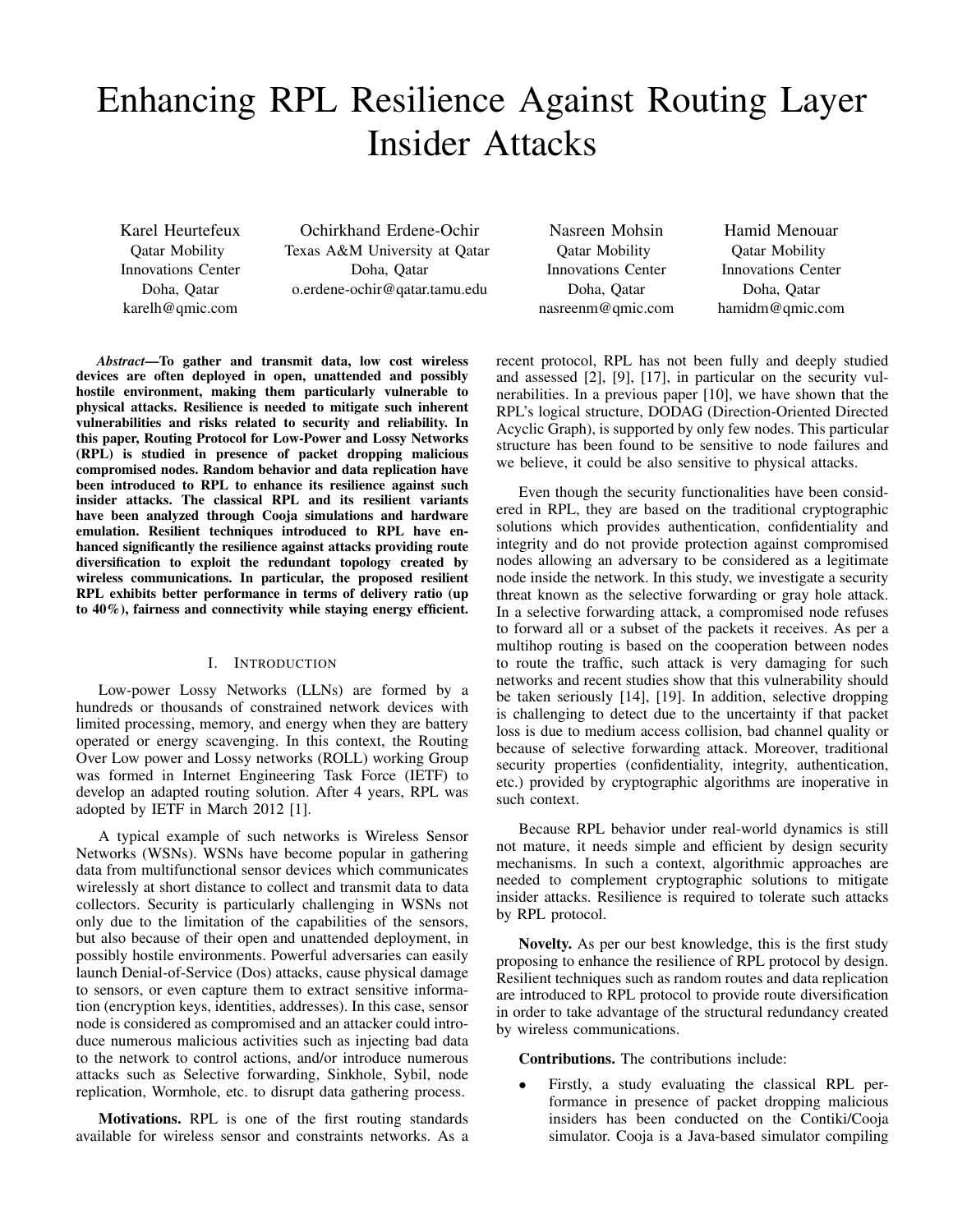# Enhancing RPL Resilience Against Routing Layer Insider Attacks

Karel Heurtefeux Qatar Mobility Innovations Center Doha, Qatar karelh@qmic.com

Ochirkhand Erdene-Ochir Texas A&M University at Qatar Doha, Qatar o.erdene-ochir@qatar.tamu.edu

Nasreen Mohsin Qatar Mobility Innovations Center Doha, Qatar nasreenm@qmic.com

Hamid Menouar Qatar Mobility Innovations Center Doha, Qatar hamidm@qmic.com

*Abstract*—To gather and transmit data, low cost wireless devices are often deployed in open, unattended and possibly hostile environment, making them particularly vulnerable to physical attacks. Resilience is needed to mitigate such inherent vulnerabilities and risks related to security and reliability. In this paper, Routing Protocol for Low-Power and Lossy Networks (RPL) is studied in presence of packet dropping malicious compromised nodes. Random behavior and data replication have been introduced to RPL to enhance its resilience against such insider attacks. The classical RPL and its resilient variants have been analyzed through Cooja simulations and hardware emulation. Resilient techniques introduced to RPL have enhanced significantly the resilience against attacks providing route diversification to exploit the redundant topology created by wireless communications. In particular, the proposed resilient RPL exhibits better performance in terms of delivery ratio (up to 40%), fairness and connectivity while staying energy efficient.

# I. INTRODUCTION

Low-power Lossy Networks (LLNs) are formed by a hundreds or thousands of constrained network devices with limited processing, memory, and energy when they are battery operated or energy scavenging. In this context, the Routing Over Low power and Lossy networks (ROLL) working Group was formed in Internet Engineering Task Force (IETF) to develop an adapted routing solution. After 4 years, RPL was adopted by IETF in March 2012 [1].

A typical example of such networks is Wireless Sensor Networks (WSNs). WSNs have become popular in gathering data from multifunctional sensor devices which communicates wirelessly at short distance to collect and transmit data to data collectors. Security is particularly challenging in WSNs not only due to the limitation of the capabilities of the sensors, but also because of their open and unattended deployment, in possibly hostile environments. Powerful adversaries can easily launch Denial-of-Service (Dos) attacks, cause physical damage to sensors, or even capture them to extract sensitive information (encryption keys, identities, addresses). In this case, sensor node is considered as compromised and an attacker could introduce numerous malicious activities such as injecting bad data to the network to control actions, and/or introduce numerous attacks such as Selective forwarding, Sinkhole, Sybil, node replication, Wormhole, etc. to disrupt data gathering process.

Motivations. RPL is one of the first routing standards available for wireless sensor and constraints networks. As a recent protocol, RPL has not been fully and deeply studied and assessed [2], [9], [17], in particular on the security vulnerabilities. In a previous paper [10], we have shown that the RPL's logical structure, DODAG (Direction-Oriented Directed Acyclic Graph), is supported by only few nodes. This particular structure has been found to be sensitive to node failures and we believe, it could be also sensitive to physical attacks.

Even though the security functionalities have been considered in RPL, they are based on the traditional cryptographic solutions which provides authentication, confidentiality and integrity and do not provide protection against compromised nodes allowing an adversary to be considered as a legitimate node inside the network. In this study, we investigate a security threat known as the selective forwarding or gray hole attack. In a selective forwarding attack, a compromised node refuses to forward all or a subset of the packets it receives. As per a multihop routing is based on the cooperation between nodes to route the traffic, such attack is very damaging for such networks and recent studies show that this vulnerability should be taken seriously [14], [19]. In addition, selective dropping is challenging to detect due to the uncertainty if that packet loss is due to medium access collision, bad channel quality or because of selective forwarding attack. Moreover, traditional security properties (confidentiality, integrity, authentication, etc.) provided by cryptographic algorithms are inoperative in such context.

Because RPL behavior under real-world dynamics is still not mature, it needs simple and efficient by design security mechanisms. In such a context, algorithmic approaches are needed to complement cryptographic solutions to mitigate insider attacks. Resilience is required to tolerate such attacks by RPL protocol.

Novelty. As per our best knowledge, this is the first study proposing to enhance the resilience of RPL protocol by design. Resilient techniques such as random routes and data replication are introduced to RPL protocol to provide route diversification in order to take advantage of the structural redundancy created by wireless communications.

Contributions. The contributions include:

• Firstly, a study evaluating the classical RPL performance in presence of packet dropping malicious insiders has been conducted on the Contiki/Cooja simulator. Cooja is a Java-based simulator compiling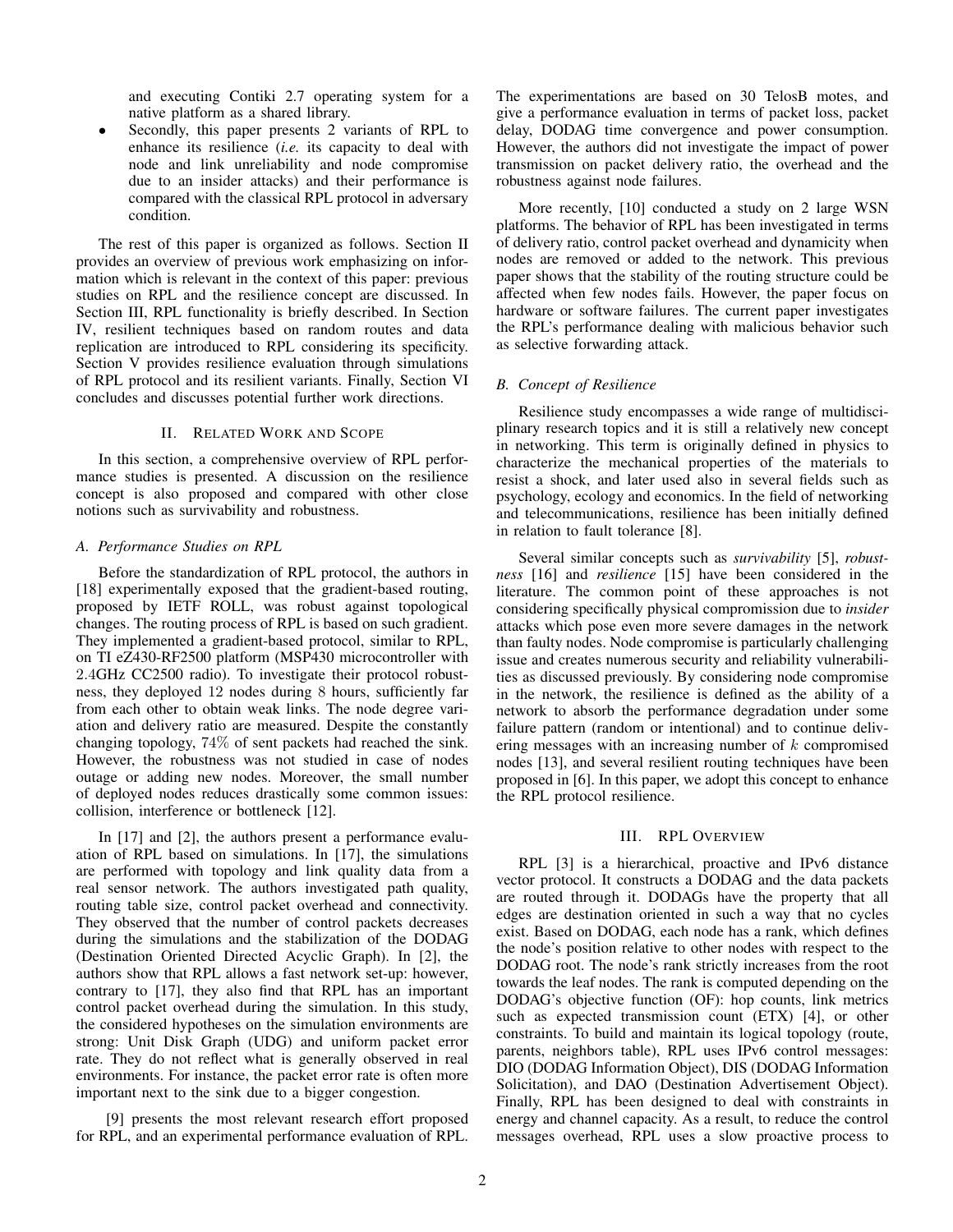and executing Contiki 2.7 operating system for a native platform as a shared library.

Secondly, this paper presents 2 variants of RPL to enhance its resilience (*i.e.* its capacity to deal with node and link unreliability and node compromise due to an insider attacks) and their performance is compared with the classical RPL protocol in adversary condition.

The rest of this paper is organized as follows. Section II provides an overview of previous work emphasizing on information which is relevant in the context of this paper: previous studies on RPL and the resilience concept are discussed. In Section III, RPL functionality is briefly described. In Section IV, resilient techniques based on random routes and data replication are introduced to RPL considering its specificity. Section V provides resilience evaluation through simulations of RPL protocol and its resilient variants. Finally, Section VI concludes and discusses potential further work directions.

# II. RELATED WORK AND SCOPE

In this section, a comprehensive overview of RPL performance studies is presented. A discussion on the resilience concept is also proposed and compared with other close notions such as survivability and robustness.

# *A. Performance Studies on RPL*

Before the standardization of RPL protocol, the authors in [18] experimentally exposed that the gradient-based routing, proposed by IETF ROLL, was robust against topological changes. The routing process of RPL is based on such gradient. They implemented a gradient-based protocol, similar to RPL, on TI eZ430-RF2500 platform (MSP430 microcontroller with 2.4GHz CC2500 radio). To investigate their protocol robustness, they deployed 12 nodes during 8 hours, sufficiently far from each other to obtain weak links. The node degree variation and delivery ratio are measured. Despite the constantly changing topology, 74% of sent packets had reached the sink. However, the robustness was not studied in case of nodes outage or adding new nodes. Moreover, the small number of deployed nodes reduces drastically some common issues: collision, interference or bottleneck [12].

In [17] and [2], the authors present a performance evaluation of RPL based on simulations. In [17], the simulations are performed with topology and link quality data from a real sensor network. The authors investigated path quality, routing table size, control packet overhead and connectivity. They observed that the number of control packets decreases during the simulations and the stabilization of the DODAG (Destination Oriented Directed Acyclic Graph). In [2], the authors show that RPL allows a fast network set-up: however, contrary to [17], they also find that RPL has an important control packet overhead during the simulation. In this study, the considered hypotheses on the simulation environments are strong: Unit Disk Graph (UDG) and uniform packet error rate. They do not reflect what is generally observed in real environments. For instance, the packet error rate is often more important next to the sink due to a bigger congestion.

[9] presents the most relevant research effort proposed for RPL, and an experimental performance evaluation of RPL. The experimentations are based on 30 TelosB motes, and give a performance evaluation in terms of packet loss, packet delay, DODAG time convergence and power consumption. However, the authors did not investigate the impact of power transmission on packet delivery ratio, the overhead and the robustness against node failures.

More recently, [10] conducted a study on 2 large WSN platforms. The behavior of RPL has been investigated in terms of delivery ratio, control packet overhead and dynamicity when nodes are removed or added to the network. This previous paper shows that the stability of the routing structure could be affected when few nodes fails. However, the paper focus on hardware or software failures. The current paper investigates the RPL's performance dealing with malicious behavior such as selective forwarding attack.

# *B. Concept of Resilience*

Resilience study encompasses a wide range of multidisciplinary research topics and it is still a relatively new concept in networking. This term is originally defined in physics to characterize the mechanical properties of the materials to resist a shock, and later used also in several fields such as psychology, ecology and economics. In the field of networking and telecommunications, resilience has been initially defined in relation to fault tolerance [8].

Several similar concepts such as *survivability* [5], *robustness* [16] and *resilience* [15] have been considered in the literature. The common point of these approaches is not considering specifically physical compromission due to *insider* attacks which pose even more severe damages in the network than faulty nodes. Node compromise is particularly challenging issue and creates numerous security and reliability vulnerabilities as discussed previously. By considering node compromise in the network, the resilience is defined as the ability of a network to absorb the performance degradation under some failure pattern (random or intentional) and to continue delivering messages with an increasing number of  $k$  compromised nodes [13], and several resilient routing techniques have been proposed in [6]. In this paper, we adopt this concept to enhance the RPL protocol resilience.

#### III. RPL OVERVIEW

RPL [3] is a hierarchical, proactive and IPv6 distance vector protocol. It constructs a DODAG and the data packets are routed through it. DODAGs have the property that all edges are destination oriented in such a way that no cycles exist. Based on DODAG, each node has a rank, which defines the node's position relative to other nodes with respect to the DODAG root. The node's rank strictly increases from the root towards the leaf nodes. The rank is computed depending on the DODAG's objective function (OF): hop counts, link metrics such as expected transmission count (ETX) [4], or other constraints. To build and maintain its logical topology (route, parents, neighbors table), RPL uses IPv6 control messages: DIO (DODAG Information Object), DIS (DODAG Information Solicitation), and DAO (Destination Advertisement Object). Finally, RPL has been designed to deal with constraints in energy and channel capacity. As a result, to reduce the control messages overhead, RPL uses a slow proactive process to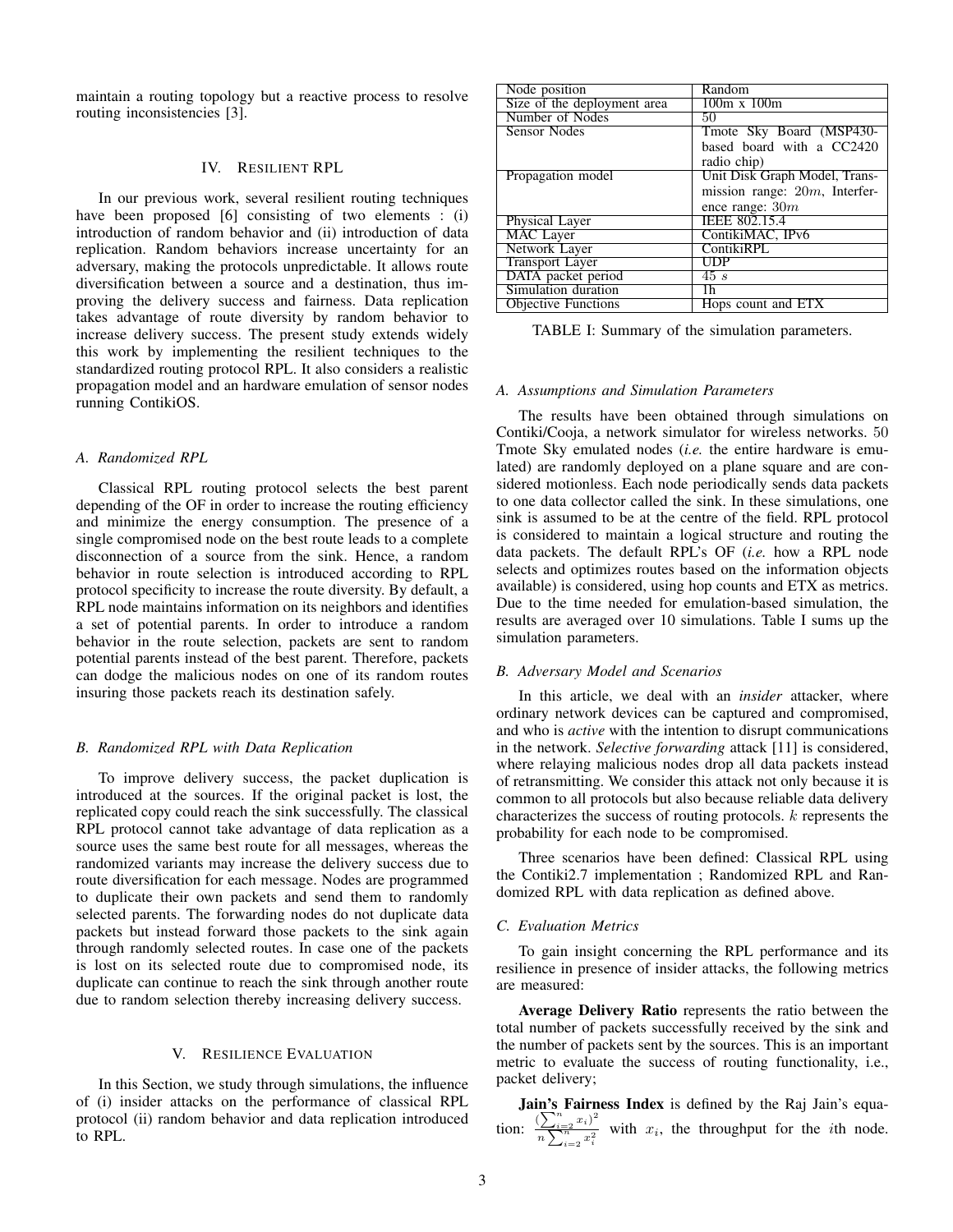maintain a routing topology but a reactive process to resolve routing inconsistencies [3].

#### IV. RESILIENT RPL

In our previous work, several resilient routing techniques have been proposed [6] consisting of two elements : (i) introduction of random behavior and (ii) introduction of data replication. Random behaviors increase uncertainty for an adversary, making the protocols unpredictable. It allows route diversification between a source and a destination, thus improving the delivery success and fairness. Data replication takes advantage of route diversity by random behavior to increase delivery success. The present study extends widely this work by implementing the resilient techniques to the standardized routing protocol RPL. It also considers a realistic propagation model and an hardware emulation of sensor nodes running ContikiOS.

## *A. Randomized RPL*

Classical RPL routing protocol selects the best parent depending of the OF in order to increase the routing efficiency and minimize the energy consumption. The presence of a single compromised node on the best route leads to a complete disconnection of a source from the sink. Hence, a random behavior in route selection is introduced according to RPL protocol specificity to increase the route diversity. By default, a RPL node maintains information on its neighbors and identifies a set of potential parents. In order to introduce a random behavior in the route selection, packets are sent to random potential parents instead of the best parent. Therefore, packets can dodge the malicious nodes on one of its random routes insuring those packets reach its destination safely.

# *B. Randomized RPL with Data Replication*

To improve delivery success, the packet duplication is introduced at the sources. If the original packet is lost, the replicated copy could reach the sink successfully. The classical RPL protocol cannot take advantage of data replication as a source uses the same best route for all messages, whereas the randomized variants may increase the delivery success due to route diversification for each message. Nodes are programmed to duplicate their own packets and send them to randomly selected parents. The forwarding nodes do not duplicate data packets but instead forward those packets to the sink again through randomly selected routes. In case one of the packets is lost on its selected route due to compromised node, its duplicate can continue to reach the sink through another route due to random selection thereby increasing delivery success.

#### V. RESILIENCE EVALUATION

In this Section, we study through simulations, the influence of (i) insider attacks on the performance of classical RPL protocol (ii) random behavior and data replication introduced to RPL.

| Random                           |
|----------------------------------|
| $100m \times 100m$               |
| 50                               |
| Tmote Sky Board (MSP430-         |
| based board with a CC2420        |
| radio chip)                      |
| Unit Disk Graph Model, Trans-    |
| mission range: $20m$ , Interfer- |
| ence range: $30m$                |
| IEEE 802.15.4                    |
| ContikiMAC, IPv6                 |
| ContikiRPL                       |
| UDP                              |
| $\overline{45s}$                 |
| 1h.                              |
| Hops count and ETX               |
|                                  |

TABLE I: Summary of the simulation parameters.

#### *A. Assumptions and Simulation Parameters*

The results have been obtained through simulations on Contiki/Cooja, a network simulator for wireless networks. 50 Tmote Sky emulated nodes (*i.e.* the entire hardware is emulated) are randomly deployed on a plane square and are considered motionless. Each node periodically sends data packets to one data collector called the sink. In these simulations, one sink is assumed to be at the centre of the field. RPL protocol is considered to maintain a logical structure and routing the data packets. The default RPL's OF (*i.e.* how a RPL node selects and optimizes routes based on the information objects available) is considered, using hop counts and ETX as metrics. Due to the time needed for emulation-based simulation, the results are averaged over 10 simulations. Table I sums up the simulation parameters.

# *B. Adversary Model and Scenarios*

In this article, we deal with an *insider* attacker, where ordinary network devices can be captured and compromised, and who is *active* with the intention to disrupt communications in the network. *Selective forwarding* attack [11] is considered, where relaying malicious nodes drop all data packets instead of retransmitting. We consider this attack not only because it is common to all protocols but also because reliable data delivery characterizes the success of routing protocols. k represents the probability for each node to be compromised.

Three scenarios have been defined: Classical RPL using the Contiki2.7 implementation ; Randomized RPL and Randomized RPL with data replication as defined above.

# *C. Evaluation Metrics*

To gain insight concerning the RPL performance and its resilience in presence of insider attacks, the following metrics are measured:

Average Delivery Ratio represents the ratio between the total number of packets successfully received by the sink and the number of packets sent by the sources. This is an important metric to evaluate the success of routing functionality, i.e., packet delivery;

Jain's Fairness Index is defined by the Raj Jain's equation:  $\frac{\left(\sum_{i=2}^{n} x_i\right)^2}{n}$  $\frac{\sqrt{1+i2}x_1}{\sqrt[n]{\sum_{i=2}^{n}x_i^2}}$  with  $x_i$ , the throughput for the *i*th node.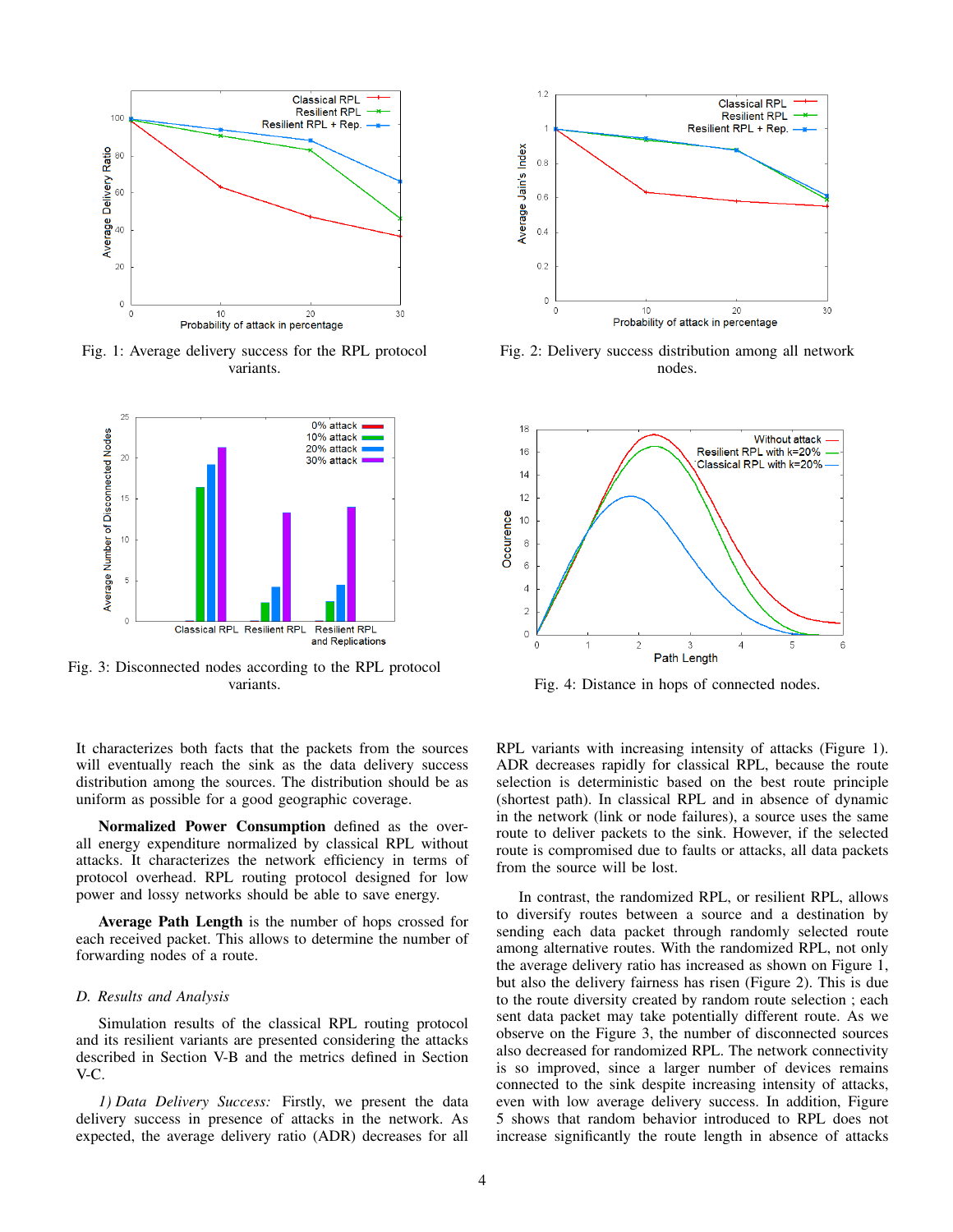

Fig. 1: Average delivery success for the RPL protocol variants.



Fig. 3: Disconnected nodes according to the RPL protocol

It characterizes both facts that the packets from the sources will eventually reach the sink as the data delivery success distribution among the sources. The distribution should be as uniform as possible for a good geographic coverage.

Normalized Power Consumption defined as the overall energy expenditure normalized by classical RPL without attacks. It characterizes the network efficiency in terms of protocol overhead. RPL routing protocol designed for low power and lossy networks should be able to save energy.

Average Path Length is the number of hops crossed for each received packet. This allows to determine the number of forwarding nodes of a route.

#### *D. Results and Analysis*

Simulation results of the classical RPL routing protocol and its resilient variants are presented considering the attacks described in Section V-B and the metrics defined in Section V-C.

*1) Data Delivery Success:* Firstly, we present the data delivery success in presence of attacks in the network. As expected, the average delivery ratio (ADR) decreases for all



Fig. 2: Delivery success distribution among all network nodes.



variants. Fig. 4: Distance in hops of connected nodes.

RPL variants with increasing intensity of attacks (Figure 1). ADR decreases rapidly for classical RPL, because the route selection is deterministic based on the best route principle (shortest path). In classical RPL and in absence of dynamic in the network (link or node failures), a source uses the same route to deliver packets to the sink. However, if the selected route is compromised due to faults or attacks, all data packets from the source will be lost.

In contrast, the randomized RPL, or resilient RPL, allows to diversify routes between a source and a destination by sending each data packet through randomly selected route among alternative routes. With the randomized RPL, not only the average delivery ratio has increased as shown on Figure 1, but also the delivery fairness has risen (Figure 2). This is due to the route diversity created by random route selection ; each sent data packet may take potentially different route. As we observe on the Figure 3, the number of disconnected sources also decreased for randomized RPL. The network connectivity is so improved, since a larger number of devices remains connected to the sink despite increasing intensity of attacks, even with low average delivery success. In addition, Figure 5 shows that random behavior introduced to RPL does not increase significantly the route length in absence of attacks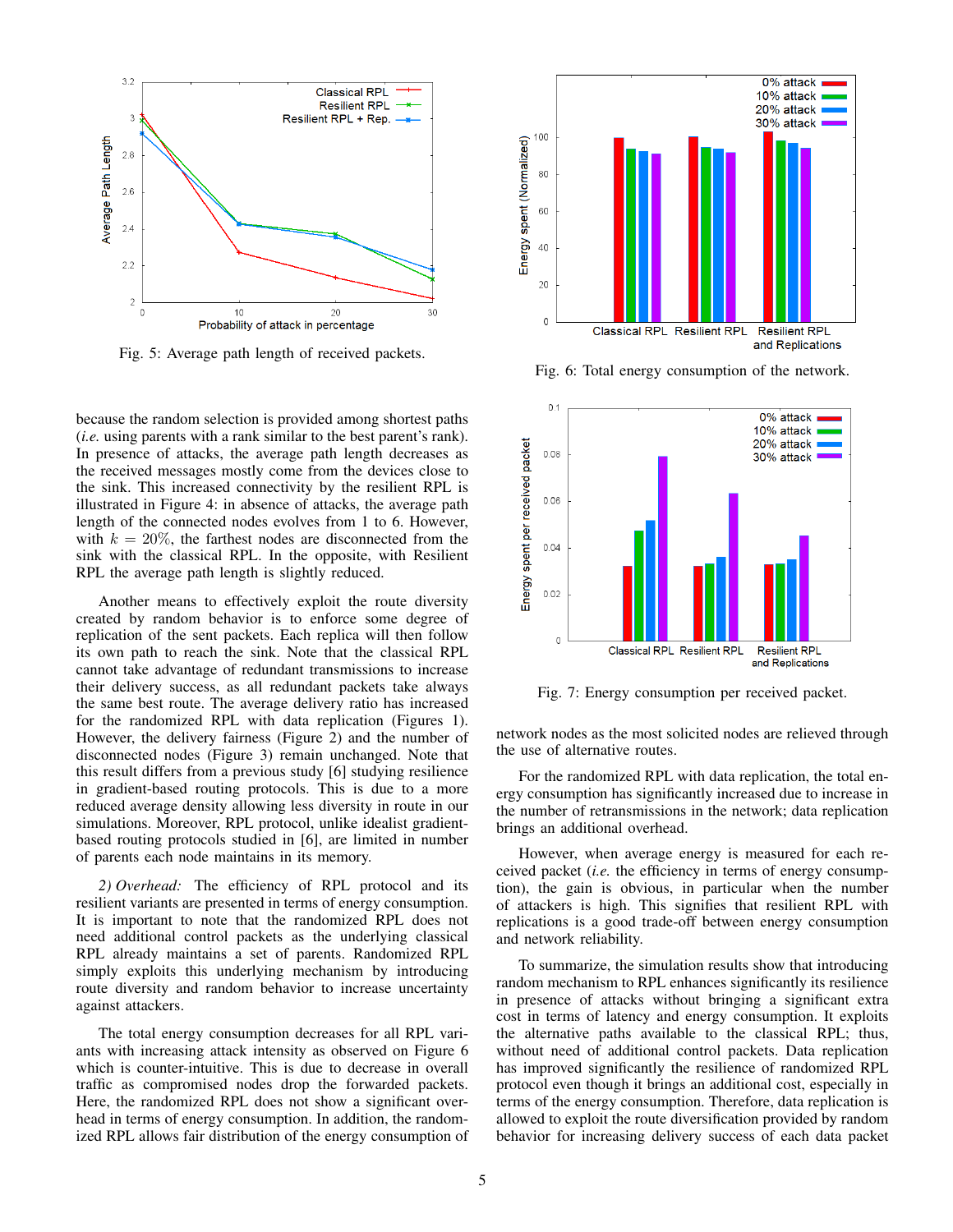

Fig. 5: Average path length of received packets.

because the random selection is provided among shortest paths (*i.e.* using parents with a rank similar to the best parent's rank). In presence of attacks, the average path length decreases as the received messages mostly come from the devices close to the sink. This increased connectivity by the resilient RPL is illustrated in Figure 4: in absence of attacks, the average path length of the connected nodes evolves from 1 to 6. However, with  $k = 20\%$ , the farthest nodes are disconnected from the sink with the classical RPL. In the opposite, with Resilient RPL the average path length is slightly reduced.

Another means to effectively exploit the route diversity created by random behavior is to enforce some degree of replication of the sent packets. Each replica will then follow its own path to reach the sink. Note that the classical RPL cannot take advantage of redundant transmissions to increase their delivery success, as all redundant packets take always the same best route. The average delivery ratio has increased for the randomized RPL with data replication (Figures 1). However, the delivery fairness (Figure 2) and the number of disconnected nodes (Figure 3) remain unchanged. Note that this result differs from a previous study [6] studying resilience in gradient-based routing protocols. This is due to a more reduced average density allowing less diversity in route in our simulations. Moreover, RPL protocol, unlike idealist gradientbased routing protocols studied in [6], are limited in number of parents each node maintains in its memory.

*2) Overhead:* The efficiency of RPL protocol and its resilient variants are presented in terms of energy consumption. It is important to note that the randomized RPL does not need additional control packets as the underlying classical RPL already maintains a set of parents. Randomized RPL simply exploits this underlying mechanism by introducing route diversity and random behavior to increase uncertainty against attackers.

The total energy consumption decreases for all RPL variants with increasing attack intensity as observed on Figure 6 which is counter-intuitive. This is due to decrease in overall traffic as compromised nodes drop the forwarded packets. Here, the randomized RPL does not show a significant overhead in terms of energy consumption. In addition, the randomized RPL allows fair distribution of the energy consumption of



Fig. 6: Total energy consumption of the network.



Fig. 7: Energy consumption per received packet.

network nodes as the most solicited nodes are relieved through the use of alternative routes.

For the randomized RPL with data replication, the total energy consumption has significantly increased due to increase in the number of retransmissions in the network; data replication brings an additional overhead.

However, when average energy is measured for each received packet (*i.e.* the efficiency in terms of energy consumption), the gain is obvious, in particular when the number of attackers is high. This signifies that resilient RPL with replications is a good trade-off between energy consumption and network reliability.

To summarize, the simulation results show that introducing random mechanism to RPL enhances significantly its resilience in presence of attacks without bringing a significant extra cost in terms of latency and energy consumption. It exploits the alternative paths available to the classical RPL; thus, without need of additional control packets. Data replication has improved significantly the resilience of randomized RPL protocol even though it brings an additional cost, especially in terms of the energy consumption. Therefore, data replication is allowed to exploit the route diversification provided by random behavior for increasing delivery success of each data packet